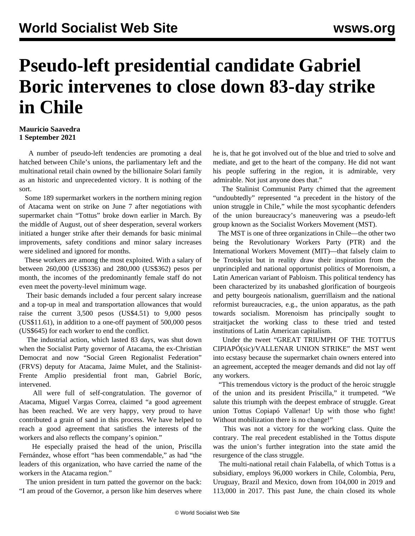## **Pseudo-left presidential candidate Gabriel Boric intervenes to close down 83-day strike in Chile**

## **Mauricio Saavedra 1 September 2021**

 A number of pseudo-left tendencies are promoting a deal hatched between Chile's unions, the parliamentary left and the multinational retail chain owned by the billionaire Solari family as an historic and unprecedented victory. It is nothing of the sort.

 Some 189 supermarket workers in the northern mining region of Atacama went on strike on June 7 after negotiations with supermarket chain "Tottus" broke down earlier in March. By the middle of August, out of sheer desperation, several workers initiated a hunger strike after their demands for basic minimal improvements, safety conditions and minor salary increases were sidelined and ignored for months.

 These workers are among the most exploited. With a salary of between 260,000 (US\$336) and 280,000 (US\$362) pesos per month, the incomes of the predominantly female staff do not even meet the poverty-level minimum wage.

 Their basic demands included a four percent salary increase and a top-up in meal and transportation allowances that would raise the current 3,500 pesos (US\$4.51) to 9,000 pesos (US\$11.61), in addition to a one-off payment of 500,000 pesos (US\$645) for each worker to end the conflict.

 The industrial action, which lasted 83 days, was shut down when the Socialist Party governor of Atacama, the ex-Christian Democrat and now "Social Green Regionalist Federation" (FRVS) deputy for Atacama, Jaime Mulet, and the Stalinist-Frente Amplio presidential front man, Gabriel Boríc, intervened.

 All were full of self-congratulation. The governor of Atacama, Miguel Vargas Correa, claimed "a good agreement has been reached. We are very happy, very proud to have contributed a grain of sand in this process. We have helped to reach a good agreement that satisfies the interests of the workers and also reflects the company's opinion."

 He especially praised the head of the union, Priscilla Fernández, whose effort "has been commendable," as had "the leaders of this organization, who have carried the name of the workers in the Atacama region."

 The union president in turn patted the governor on the back: "I am proud of the Governor, a person like him deserves where

he is, that he got involved out of the blue and tried to solve and mediate, and get to the heart of the company. He did not want his people suffering in the region, it is admirable, very admirable. Not just anyone does that."

 The Stalinist Communist Party chimed that the agreement "undoubtedly" represented "a precedent in the history of the union struggle in Chile," while the most sycophantic defenders of the union bureaucracy's maneuvering was a pseudo-left group known as the Socialist Workers Movement (MST).

 The MST is one of three organizations in Chile—the other two being the Revolutionary Workers Party (PTR) and the International Workers Movement (MIT)—that falsely claim to be Trotskyist but in reality draw their inspiration from the unprincipled and national opportunist politics of Morenoism, a Latin American variant of Pabloism. This political tendency has been characterized by its unabashed glorification of bourgeois and petty bourgeois nationalism, guerrillaism and the national reformist bureaucracies, e.g., the union apparatus, as the path towards socialism. Morenoism has principally sought to straitjacket the working class to these tried and tested institutions of Latin American capitalism.

 Under the tweet "GREAT TRIUMPH OF THE TOTTUS CIPIAPÓ(sic)/VALLENAR UNION STRIKE" the MST went into ecstasy because the supermarket chain owners entered into an agreement, accepted the meager demands and did not lay off any workers.

 "This tremendous victory is the product of the heroic struggle of the union and its president Priscilla," it trumpeted. "We salute this triumph with the deepest embrace of struggle. Great union Tottus Copiapó Vallenar! Up with those who fight! Without mobilization there is no change!"

 This was not a victory for the working class. Quite the contrary. The real precedent established in the Tottus dispute was the union's further integration into the state amid the resurgence of the class struggle.

 The multi-national retail chain Falabella, of which Tottus is a subsidiary, employs 96,000 workers in Chile, Colombia, Peru, Uruguay, Brazil and Mexico, down from 104,000 in 2019 and 113,000 in 2017. This past June, the chain closed its whole